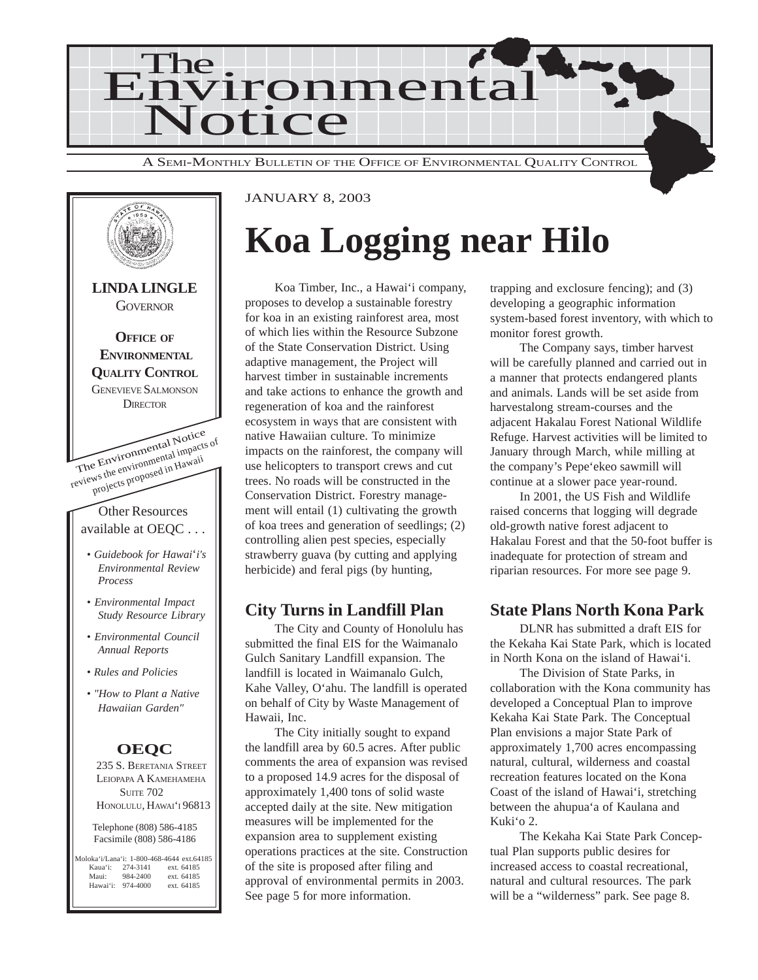



#### JANUARY 8, 2003

## **Koa Logging near Hilo**

Koa Timber, Inc., a Hawai'i company, proposes to develop a sustainable forestry for koa in an existing rainforest area, most of which lies within the Resource Subzone of the State Conservation District. Using adaptive management, the Project will harvest timber in sustainable increments and take actions to enhance the growth and regeneration of koa and the rainforest ecosystem in ways that are consistent with native Hawaiian culture. To minimize impacts on the rainforest, the company will use helicopters to transport crews and cut trees. No roads will be constructed in the Conservation District. Forestry management will entail (1) cultivating the growth of koa trees and generation of seedlings; (2) controlling alien pest species, especially strawberry guava (by cutting and applying herbicide) and feral pigs (by hunting,

#### **City Turns in Landfill Plan**

The City and County of Honolulu has submitted the final EIS for the Waimanalo Gulch Sanitary Landfill expansion. The landfill is located in Waimanalo Gulch, Kahe Valley, O'ahu. The landfill is operated on behalf of City by Waste Management of Hawaii, Inc.

The City initially sought to expand the landfill area by 60.5 acres. After public comments the area of expansion was revised to a proposed 14.9 acres for the disposal of approximately 1,400 tons of solid waste accepted daily at the site. New mitigation measures will be implemented for the expansion area to supplement existing operations practices at the site. Construction of the site is proposed after filing and approval of environmental permits in 2003. See page 5 for more information.

trapping and exclosure fencing); and (3) developing a geographic information system-based forest inventory, with which to monitor forest growth.

The Company says, timber harvest will be carefully planned and carried out in a manner that protects endangered plants and animals. Lands will be set aside from harvestalong stream-courses and the adjacent Hakalau Forest National Wildlife Refuge. Harvest activities will be limited to January through March, while milling at the company's Pepe'ekeo sawmill will continue at a slower pace year-round.

In 2001, the US Fish and Wildlife raised concerns that logging will degrade old-growth native forest adjacent to Hakalau Forest and that the 50-foot buffer is inadequate for protection of stream and riparian resources. For more see page 9.

### **State Plans North Kona Park**

DLNR has submitted a draft EIS for the Kekaha Kai State Park, which is located in North Kona on the island of Hawai'i.

The Division of State Parks, in collaboration with the Kona community has developed a Conceptual Plan to improve Kekaha Kai State Park. The Conceptual Plan envisions a major State Park of approximately 1,700 acres encompassing natural, cultural, wilderness and coastal recreation features located on the Kona Coast of the island of Hawai'i, stretching between the ahupua'a of Kaulana and Kuki'o 2.

The Kekaha Kai State Park Conceptual Plan supports public desires for increased access to coastal recreational, natural and cultural resources. The park will be a "wilderness" park. See page 8.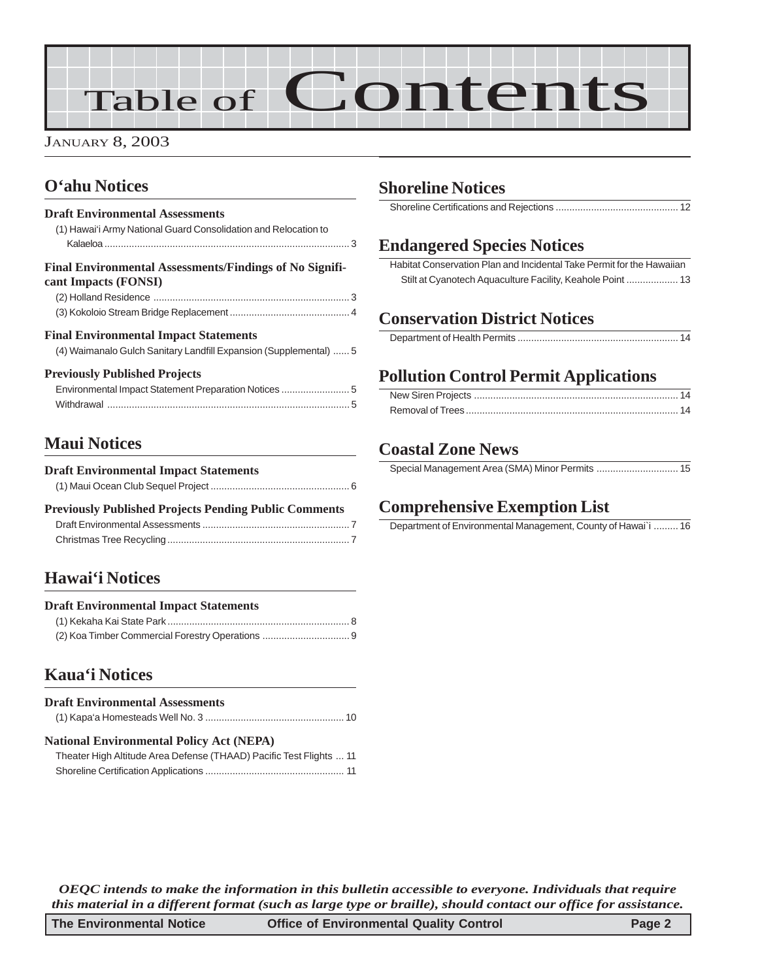# Table of Contents

JANUARY 8, 2003

## **[O'ahu Notices](#page-2-0)**

#### **Draft Environmental Assessments** [\(1\) Hawai'i Army National Guard Consolidation and Relocation to](#page-2-0) Kalaeloa [.......................................................................................... 3](#page-2-0) **Final Environmental Assessments/Findings of No Significant Impacts (FONSI)** (2) Holland Residence [........................................................................ 3](#page-2-0) [\(3\) Kokoloio Stream Bridge Replacement](#page-3-0) ............................................ 4 **Final Environmental Impact Statements** [\(4\) Waimanalo Gulch Sanitary Landfill Expansion \(Supplemental\)](#page-4-0) ...... 5 **Previously Published Projects** [Environmental Impact Statement Preparation Notices](#page-4-0) ......................... 5 Withdrawal [......................................................................................... 5](#page-4-0)

## **[Maui Notices](#page-5-0)**

| <b>Draft Environmental Impact Statements</b>                 |  |
|--------------------------------------------------------------|--|
|                                                              |  |
| <b>Previously Published Projects Pending Public Comments</b> |  |
|                                                              |  |

[Christmas Tree Recycling................................................................... 7](#page-6-0)

### **[Hawai'i Notices](#page-7-0)**

| <b>Draft Environmental Impact Statements</b> |  |
|----------------------------------------------|--|
|                                              |  |
|                                              |  |

## **[Kaua'i Notices](#page-9-0)**

| <b>Draft Environmental Assessments</b> |  |
|----------------------------------------|--|
|                                        |  |

| <b>National Environmental Policy Act (NEPA)</b>              |  |  |
|--------------------------------------------------------------|--|--|
| Theater High Altitude Area Defense (THAAD) Pacific Test Flig |  |  |

| Theater High Altitude Area Defense (THAAD) Pacific Test Flights  11 |  |
|---------------------------------------------------------------------|--|
|                                                                     |  |

## **[Shoreline Notices](#page-10-0)**

[Shoreline Certifications and Rejections](#page-11-0) ............................................. 12

## **Endangered Species Notices**

[Habitat Conservation Plan and Incidental Take Permit for the Hawaiian](#page-12-0) [Stilt at Cyanotech Aquaculture Facility, Keahole Point](#page-12-0) ................... 13

## **[Conservation District Notices](#page-13-0)**

## **Pollution Control Permit Applications**

## **[Coastal Zone News](#page-14-0)**

[Special Management Area \(SMA\) Minor Permits](#page-14-0) .............................. 15

## **Comprehensive Exemption List**

[Department of Environmental Management, County of Hawai`i](#page-15-0) ......... 16

*OEQC intends to make the information in this bulletin accessible to everyone. Individuals that require this material in a different format (such as large type or braille), should contact our office for assistance.*

| The Environmental Notice | <b>Office of Environmental Quality Control</b> | Page 2 |
|--------------------------|------------------------------------------------|--------|
|--------------------------|------------------------------------------------|--------|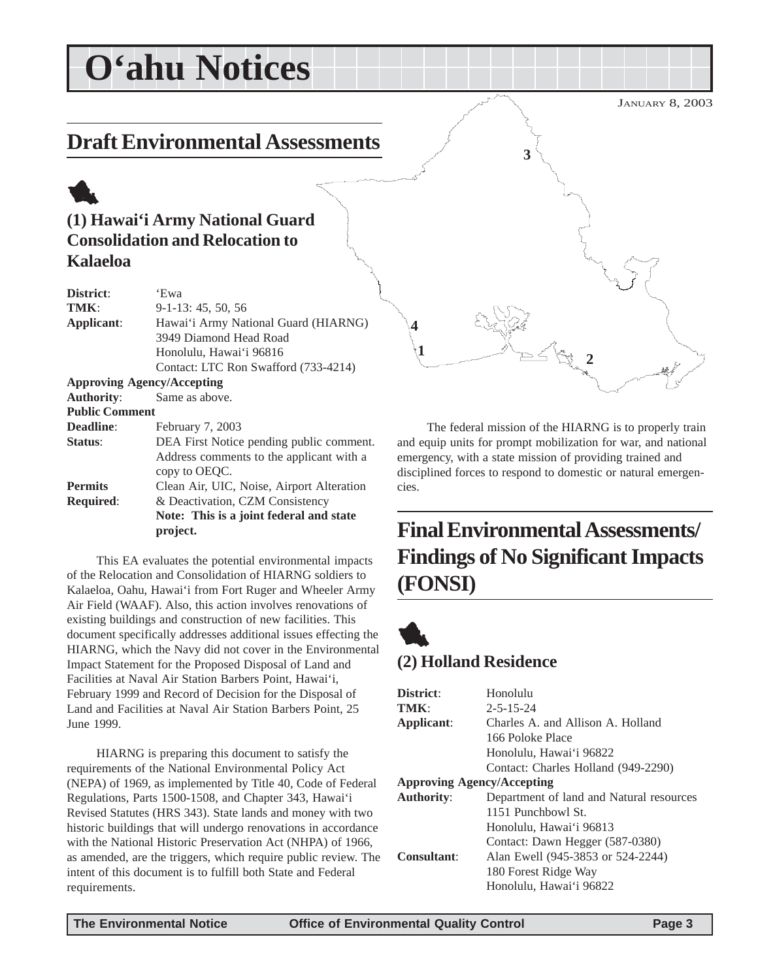## <span id="page-2-0"></span>JANUARY 8, 2003 **O'ahu Notices Draft Environmental Assessments** 1 **(1) Hawai'i Army National Guard Consolidation and Relocation to Kalaeloa District**: 'Ewa **TMK**: 9-1-13: 45, 50, 56 **Applicant**: Hawai'i Army National Guard (HIARNG) 3949 Diamond Head Road Honolulu, Hawai'i 96816 Contact: LTC Ron Swafford (733-4214) **Approving Agency/Accepting** 1 **2**  $\sqrt{2}$ **3 4**

The federal mission of the HIARNG is to properly train and equip units for prompt mobilization for war, and national emergency, with a state mission of providing trained and disciplined forces to respond to domestic or natural emergencies.

## **Final Environmental Assessments/ Findings of No Significant Impacts (FONSI)**

## **(2) Holland Residence**

| District:                         | Honolulu                                 |  |
|-----------------------------------|------------------------------------------|--|
| TMK:                              | $2 - 5 - 15 - 24$                        |  |
| Applicant:                        | Charles A. and Allison A. Holland        |  |
|                                   | 166 Poloke Place                         |  |
|                                   | Honolulu, Hawai'i 96822                  |  |
|                                   | Contact: Charles Holland (949-2290)      |  |
| <b>Approving Agency/Accepting</b> |                                          |  |
| <b>Authority:</b>                 | Department of land and Natural resources |  |
|                                   | 1151 Punchbowl St.                       |  |
|                                   | Honolulu, Hawai'i 96813                  |  |
|                                   | Contact: Dawn Hegger (587-0380)          |  |
| Consultant:                       | Alan Ewell (945-3853 or 524-2244)        |  |
|                                   | 180 Forest Ridge Way                     |  |
|                                   | Honolulu, Hawai'i 96822                  |  |
|                                   |                                          |  |

**Authority**: Same as above.

**Deadline**: February 7, 2003

**Status**: DEA First Notice pending public comment.

**Permits** Clean Air, UIC, Noise, Airport Alteration **Required**: & Deactivation, CZM Consistency

copy to OEQC.

**project.**

Address comments to the applicant with a

**Note: This is a joint federal and state**

This EA evaluates the potential environmental impacts of the Relocation and Consolidation of HIARNG soldiers to Kalaeloa, Oahu, Hawai'i from Fort Ruger and Wheeler Army Air Field (WAAF). Also, this action involves renovations of existing buildings and construction of new facilities. This document specifically addresses additional issues effecting the HIARNG, which the Navy did not cover in the Environmental Impact Statement for the Proposed Disposal of Land and Facilities at Naval Air Station Barbers Point, Hawai'i, February 1999 and Record of Decision for the Disposal of Land and Facilities at Naval Air Station Barbers Point, 25

HIARNG is preparing this document to satisfy the requirements of the National Environmental Policy Act (NEPA) of 1969, as implemented by Title 40, Code of Federal Regulations, Parts 1500-1508, and Chapter 343, Hawai'i Revised Statutes (HRS 343). State lands and money with two historic buildings that will undergo renovations in accordance with the National Historic Preservation Act (NHPA) of 1966, as amended, are the triggers, which require public review. The intent of this document is to fulfill both State and Federal

**Public Comment**

June 1999.

requirements.

1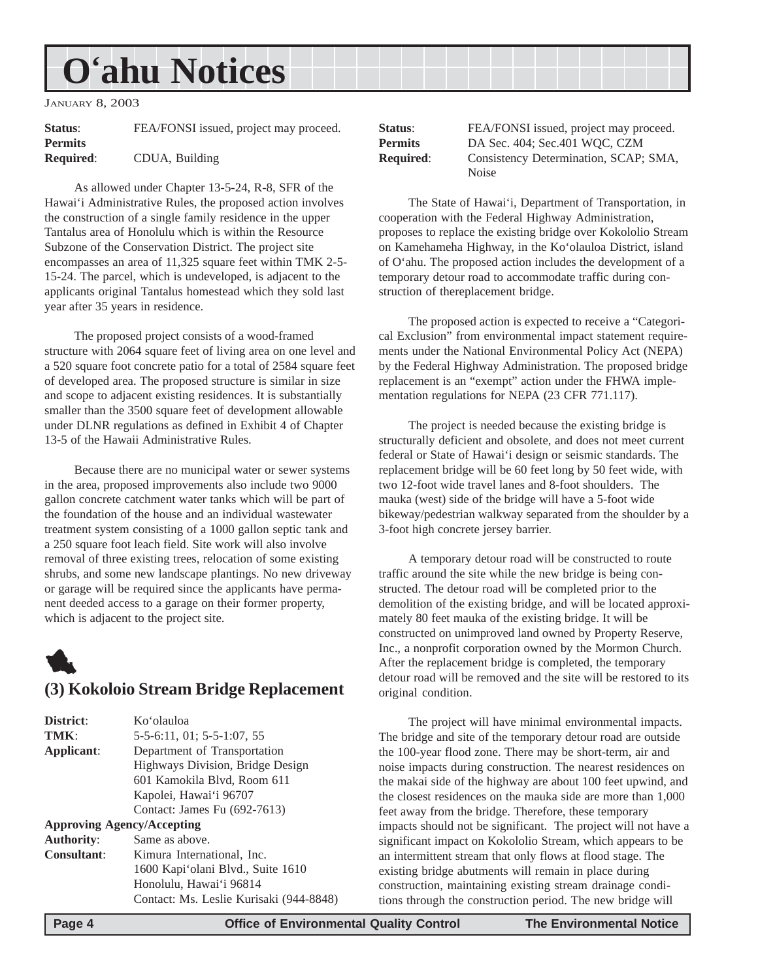## <span id="page-3-0"></span>**O'ahu Notices**

JANUARY 8, 2003

| Status:          | FEA/FONSI issued, project may proceed. |
|------------------|----------------------------------------|
| <b>Permits</b>   |                                        |
| <b>Required:</b> | CDUA, Building                         |

As allowed under Chapter 13-5-24, R-8, SFR of the Hawai'i Administrative Rules, the proposed action involves the construction of a single family residence in the upper Tantalus area of Honolulu which is within the Resource Subzone of the Conservation District. The project site encompasses an area of 11,325 square feet within TMK 2-5- 15-24. The parcel, which is undeveloped, is adjacent to the applicants original Tantalus homestead which they sold last year after 35 years in residence.

The proposed project consists of a wood-framed structure with 2064 square feet of living area on one level and a 520 square foot concrete patio for a total of 2584 square feet of developed area. The proposed structure is similar in size and scope to adjacent existing residences. It is substantially smaller than the 3500 square feet of development allowable under DLNR regulations as defined in Exhibit 4 of Chapter 13-5 of the Hawaii Administrative Rules.

Because there are no municipal water or sewer systems in the area, proposed improvements also include two 9000 gallon concrete catchment water tanks which will be part of the foundation of the house and an individual wastewater treatment system consisting of a 1000 gallon septic tank and a 250 square foot leach field. Site work will also involve removal of three existing trees, relocation of some existing shrubs, and some new landscape plantings. No new driveway or garage will be required since the applicants have permanent deeded access to a garage on their former property, which is adjacent to the project site.

## 1 **(3) Kokoloio Stream Bridge Replacement**

| District:                         | Koʻolauloa                              |
|-----------------------------------|-----------------------------------------|
| TMK:                              | 5-5-6:11, 01; 5-5-1:07, 55              |
| Applicant:                        | Department of Transportation            |
|                                   | Highways Division, Bridge Design        |
|                                   | 601 Kamokila Blvd, Room 611             |
|                                   | Kapolei, Hawai'i 96707                  |
|                                   | Contact: James Fu (692-7613)            |
| <b>Approving Agency/Accepting</b> |                                         |
| <b>Authority:</b>                 | Same as above.                          |
| <b>Consultant:</b>                | Kimura International, Inc.              |
|                                   | 1600 Kapi'olani Blvd., Suite 1610       |
|                                   | Honolulu, Hawai'i 96814                 |
|                                   | Contact: Ms. Leslie Kurisaki (944-8848) |

| Status:          | FEA/FONSI issued, project may proceed. |
|------------------|----------------------------------------|
| Permits          | DA Sec. 404; Sec. 401 WQC, CZM         |
| <b>Required:</b> | Consistency Determination, SCAP; SMA,  |
|                  | Noise                                  |

The State of Hawai'i, Department of Transportation, in cooperation with the Federal Highway Administration, proposes to replace the existing bridge over Kokololio Stream on Kamehameha Highway, in the Ko'olauloa District, island of O'ahu. The proposed action includes the development of a temporary detour road to accommodate traffic during construction of thereplacement bridge.

The proposed action is expected to receive a "Categorical Exclusion" from environmental impact statement requirements under the National Environmental Policy Act (NEPA) by the Federal Highway Administration. The proposed bridge replacement is an "exempt" action under the FHWA implementation regulations for NEPA (23 CFR 771.117).

The project is needed because the existing bridge is structurally deficient and obsolete, and does not meet current federal or State of Hawai'i design or seismic standards. The replacement bridge will be 60 feet long by 50 feet wide, with two 12-foot wide travel lanes and 8-foot shoulders. The mauka (west) side of the bridge will have a 5-foot wide bikeway/pedestrian walkway separated from the shoulder by a 3-foot high concrete jersey barrier.

A temporary detour road will be constructed to route traffic around the site while the new bridge is being constructed. The detour road will be completed prior to the demolition of the existing bridge, and will be located approximately 80 feet mauka of the existing bridge. It will be constructed on unimproved land owned by Property Reserve, Inc., a nonprofit corporation owned by the Mormon Church. After the replacement bridge is completed, the temporary detour road will be removed and the site will be restored to its original condition.

The project will have minimal environmental impacts. The bridge and site of the temporary detour road are outside the 100-year flood zone. There may be short-term, air and noise impacts during construction. The nearest residences on the makai side of the highway are about 100 feet upwind, and the closest residences on the mauka side are more than 1,000 feet away from the bridge. Therefore, these temporary impacts should not be significant. The project will not have a significant impact on Kokololio Stream, which appears to be an intermittent stream that only flows at flood stage. The existing bridge abutments will remain in place during construction, maintaining existing stream drainage conditions through the construction period. The new bridge will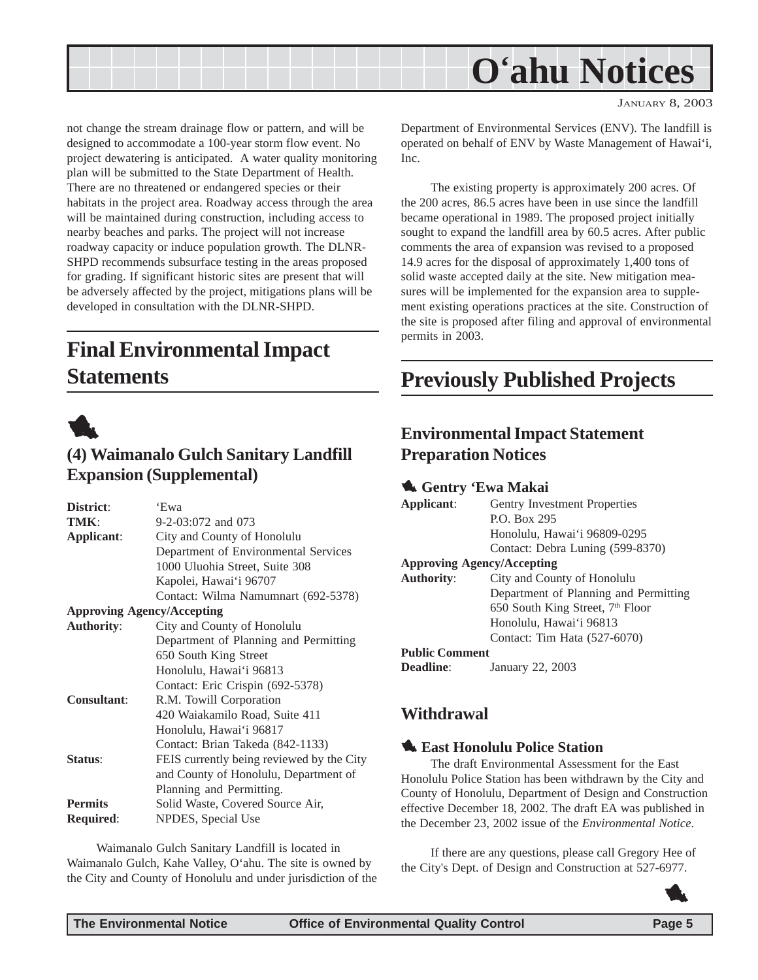<span id="page-4-0"></span>

JANUARY 8, 2003

not change the stream drainage flow or pattern, and will be designed to accommodate a 100-year storm flow event. No project dewatering is anticipated. A water quality monitoring plan will be submitted to the State Department of Health. There are no threatened or endangered species or their habitats in the project area. Roadway access through the area will be maintained during construction, including access to nearby beaches and parks. The project will not increase roadway capacity or induce population growth. The DLNR-SHPD recommends subsurface testing in the areas proposed for grading. If significant historic sites are present that will be adversely affected by the project, mitigations plans will be developed in consultation with the DLNR-SHPD.

## **Final Environmental Impact Statements**



### **(4) Waimanalo Gulch Sanitary Landfill Expansion (Supplemental)**

| District:                         | 'Ewa                                      |  |
|-----------------------------------|-------------------------------------------|--|
| TMK:                              | 9-2-03:072 and 073                        |  |
| Applicant:                        | City and County of Honolulu               |  |
|                                   | Department of Environmental Services      |  |
|                                   | 1000 Uluohia Street, Suite 308            |  |
|                                   | Kapolei, Hawai'i 96707                    |  |
|                                   | Contact: Wilma Namumnart (692-5378)       |  |
| <b>Approving Agency/Accepting</b> |                                           |  |
| <b>Authority:</b>                 | City and County of Honolulu               |  |
|                                   | Department of Planning and Permitting     |  |
|                                   | 650 South King Street                     |  |
|                                   | Honolulu, Hawai'i 96813                   |  |
|                                   | Contact: Eric Crispin (692-5378)          |  |
| <b>Consultant:</b>                | R.M. Towill Corporation                   |  |
|                                   | 420 Waiakamilo Road, Suite 411            |  |
|                                   | Honolulu, Hawai'i 96817                   |  |
|                                   | Contact: Brian Takeda (842-1133)          |  |
| Status:                           | FEIS currently being reviewed by the City |  |
|                                   | and County of Honolulu, Department of     |  |
|                                   | Planning and Permitting.                  |  |
| <b>Permits</b>                    | Solid Waste, Covered Source Air,          |  |
| <b>Required:</b>                  | NPDES, Special Use                        |  |
|                                   |                                           |  |

Waimanalo Gulch Sanitary Landfill is located in Waimanalo Gulch, Kahe Valley, O'ahu. The site is owned by the City and County of Honolulu and under jurisdiction of the Department of Environmental Services (ENV). The landfill is operated on behalf of ENV by Waste Management of Hawai'i, Inc.

The existing property is approximately 200 acres. Of the 200 acres, 86.5 acres have been in use since the landfill became operational in 1989. The proposed project initially sought to expand the landfill area by 60.5 acres. After public comments the area of expansion was revised to a proposed 14.9 acres for the disposal of approximately 1,400 tons of solid waste accepted daily at the site. New mitigation measures will be implemented for the expansion area to supplement existing operations practices at the site. Construction of the site is proposed after filing and approval of environmental permits in 2003.

## **Previously Published Projects**

## **Environmental Impact Statement Preparation Notices**

#### 1 **Gentry 'Ewa Makai**

| Applicant:<br><b>Gentry Investment Properties</b> |                                              |
|---------------------------------------------------|----------------------------------------------|
|                                                   | P.O. Box 295                                 |
|                                                   | Honolulu, Hawai'i 96809-0295                 |
|                                                   | Contact: Debra Luning (599-8370)             |
| <b>Approving Agency/Accepting</b>                 |                                              |
| <b>Authority:</b>                                 | City and County of Honolulu                  |
|                                                   | Department of Planning and Permitting        |
|                                                   | 650 South King Street, 7 <sup>th</sup> Floor |
|                                                   | Honolulu, Hawai'i 96813                      |
|                                                   | Contact: Tim Hata (527-6070)                 |
| <b>Public Comment</b>                             |                                              |
|                                                   |                                              |

**Deadline**: January 22, 2003

### **Withdrawal**

#### **1. East Honolulu Police Station**

The draft Environmental Assessment for the East Honolulu Police Station has been withdrawn by the City and County of Honolulu, Department of Design and Construction effective December 18, 2002. The draft EA was published in the December 23, 2002 issue of the *Environmental Notice.*

If there are any questions, please call Gregory Hee of the City's Dept. of Design and Construction at 527-6977.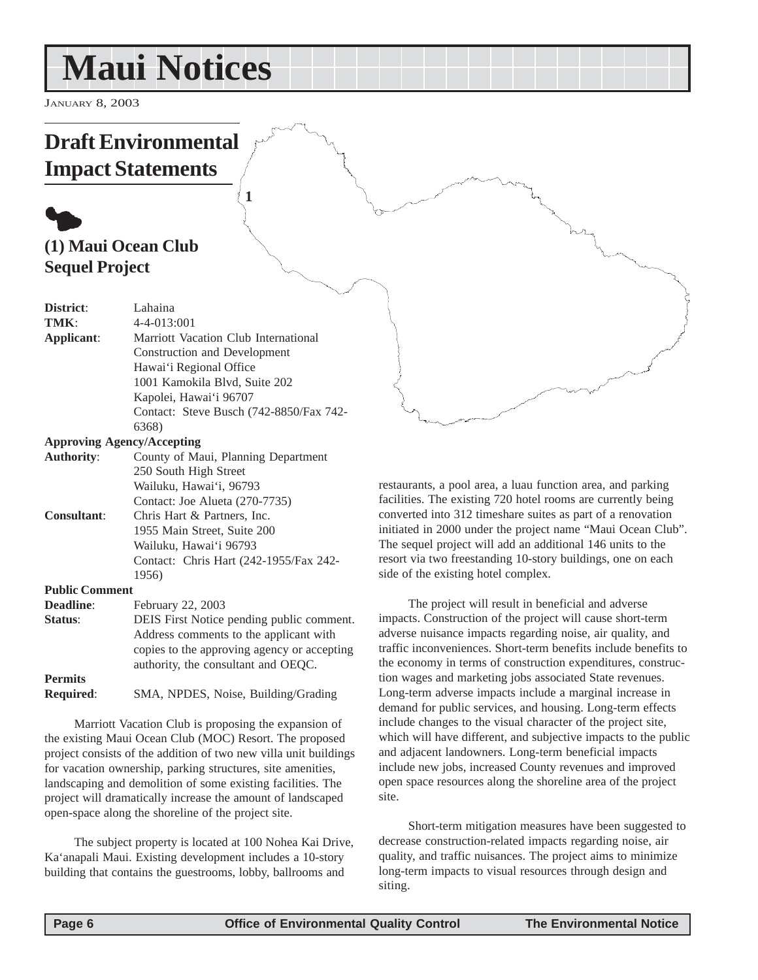## <span id="page-5-0"></span>**Maui Notices**

**1**

JANUARY 8, 2003

## **Draft Environmental Impact Statements**

## $\bullet$ **(1) Maui Ocean Club Sequel Project**

| District:                         | Lahaina                                     |  |
|-----------------------------------|---------------------------------------------|--|
| TMK:                              | 4-4-013:001                                 |  |
| Applicant:                        | Marriott Vacation Club International        |  |
|                                   | Construction and Development                |  |
|                                   | Hawai'i Regional Office                     |  |
|                                   | 1001 Kamokila Blvd, Suite 202               |  |
|                                   | Kapolei, Hawai'i 96707                      |  |
|                                   | Contact: Steve Busch (742-8850/Fax 742-     |  |
|                                   | 6368)                                       |  |
| <b>Approving Agency/Accepting</b> |                                             |  |
| <b>Authority:</b>                 | County of Maui, Planning Department         |  |
|                                   | 250 South High Street                       |  |
|                                   | Wailuku, Hawai'i, 96793                     |  |
|                                   | Contact: Joe Alueta (270-7735)              |  |
| Consultant:                       | Chris Hart & Partners, Inc.                 |  |
|                                   | 1955 Main Street, Suite 200                 |  |
|                                   | Wailuku, Hawai'i 96793                      |  |
|                                   | Contact: Chris Hart (242-1955/Fax 242-      |  |
|                                   | 1956)                                       |  |
| <b>Public Comment</b>             |                                             |  |
| Deadline:                         | February 22, 2003                           |  |
| Status:                           | DEIS First Notice pending public comment.   |  |
|                                   | Address comments to the applicant with      |  |
|                                   | copies to the approving agency or accepting |  |
|                                   | authority, the consultant and OEQC.         |  |
| <b>Permits</b>                    |                                             |  |

#### **Required**: SMA, NPDES, Noise, Building/Grading

Marriott Vacation Club is proposing the expansion of the existing Maui Ocean Club (MOC) Resort. The proposed project consists of the addition of two new villa unit buildings for vacation ownership, parking structures, site amenities, landscaping and demolition of some existing facilities. The project will dramatically increase the amount of landscaped open-space along the shoreline of the project site.

The subject property is located at 100 Nohea Kai Drive, Ka'anapali Maui. Existing development includes a 10-story building that contains the guestrooms, lobby, ballrooms and

restaurants, a pool area, a luau function area, and parking facilities. The existing 720 hotel rooms are currently being converted into 312 timeshare suites as part of a renovation initiated in 2000 under the project name "Maui Ocean Club". The sequel project will add an additional 146 units to the resort via two freestanding 10-story buildings, one on each side of the existing hotel complex.

The project will result in beneficial and adverse impacts. Construction of the project will cause short-term adverse nuisance impacts regarding noise, air quality, and traffic inconveniences. Short-term benefits include benefits to the economy in terms of construction expenditures, construction wages and marketing jobs associated State revenues. Long-term adverse impacts include a marginal increase in demand for public services, and housing. Long-term effects include changes to the visual character of the project site, which will have different, and subjective impacts to the public and adjacent landowners. Long-term beneficial impacts include new jobs, increased County revenues and improved open space resources along the shoreline area of the project site.

Short-term mitigation measures have been suggested to decrease construction-related impacts regarding noise, air quality, and traffic nuisances. The project aims to minimize long-term impacts to visual resources through design and siting.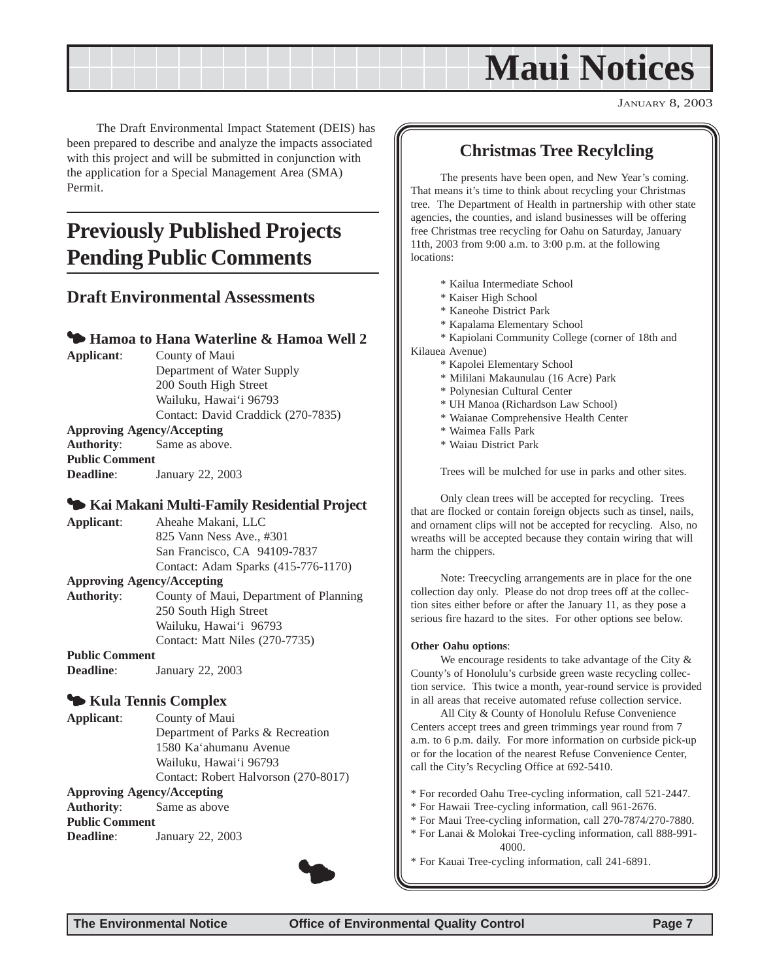## **Maui Notices**

JANUARY 8, 2003

<span id="page-6-0"></span>The Draft Environmental Impact Statement (DEIS) has been prepared to describe and analyze the impacts associated with this project and will be submitted in conjunction with the application for a Special Management Area (SMA) Permit.

## **Previously Published Projects Pending Public Comments**

#### **Draft Environmental Assessments**

#### **<sup>4</sup> Hamoa to Hana Waterline & Hamoa Well 2**

**Applicant**: County of Maui Department of Water Supply 200 South High Street Wailuku, Hawai'i 96793 Contact: David Craddick (270-7835) **Approving Agency/Accepting Authority**: Same as above. **Public Comment Deadline**: January 22, 2003

#### 3 **Kai Makani Multi-Family Residential Project**

**Applicant**: Aheahe Makani, LLC 825 Vann Ness Ave., #301 San Francisco, CA 94109-7837 Contact: Adam Sparks (415-776-1170)

#### **Approving Agency/Accepting**

**Authority**: County of Maui, Department of Planning 250 South High Street Wailuku, Hawai'i 96793 Contact: Matt Niles (270-7735)

#### **Public Comment**

**Deadline**: January 22, 2003

#### 3 **Kula Tennis Complex**

**Applicant**: County of Maui Department of Parks & Recreation 1580 Ka'ahumanu Avenue Wailuku, Hawai'i 96793 Contact: Robert Halvorson (270-8017)

#### **Approving Agency/Accepting**

**Authority**: Same as above

**Public Comment**

**Deadline**: January 22, 2003



#### **Christmas Tree Recylcling**

The presents have been open, and New Year's coming. That means it's time to think about recycling your Christmas tree. The Department of Health in partnership with other state agencies, the counties, and island businesses will be offering free Christmas tree recycling for Oahu on Saturday, January 11th, 2003 from 9:00 a.m. to 3:00 p.m. at the following locations:

- \* Kailua Intermediate School
- \* Kaiser High School
- \* Kaneohe District Park
- \* Kapalama Elementary School
- \* Kapiolani Community College (corner of 18th and

Kilauea Avenue)

- \* Kapolei Elementary School
- \* Mililani Makaunulau (16 Acre) Park
- \* Polynesian Cultural Center
- \* UH Manoa (Richardson Law School)
- \* Waianae Comprehensive Health Center
- \* Waimea Falls Park
- \* Waiau District Park

Trees will be mulched for use in parks and other sites.

Only clean trees will be accepted for recycling. Trees that are flocked or contain foreign objects such as tinsel, nails, and ornament clips will not be accepted for recycling. Also, no wreaths will be accepted because they contain wiring that will harm the chippers.

Note: Treecycling arrangements are in place for the one collection day only. Please do not drop trees off at the collection sites either before or after the January 11, as they pose a serious fire hazard to the sites. For other options see below.

#### **Other Oahu options**:

We encourage residents to take advantage of the City  $\&$ County's of Honolulu's curbside green waste recycling collection service. This twice a month, year-round service is provided in all areas that receive automated refuse collection service.

All City & County of Honolulu Refuse Convenience Centers accept trees and green trimmings year round from 7 a.m. to 6 p.m. daily. For more information on curbside pick-up or for the location of the nearest Refuse Convenience Center, call the City's Recycling Office at 692-5410.

- \* For recorded Oahu Tree-cycling information, call 521-2447.
- \* For Hawaii Tree-cycling information, call 961-2676.
- \* For Maui Tree-cycling information, call 270-7874/270-7880.
- \* For Lanai & Molokai Tree-cycling information, call 888-991- 4000.
- \* For Kauai Tree-cycling information, call 241-6891. 3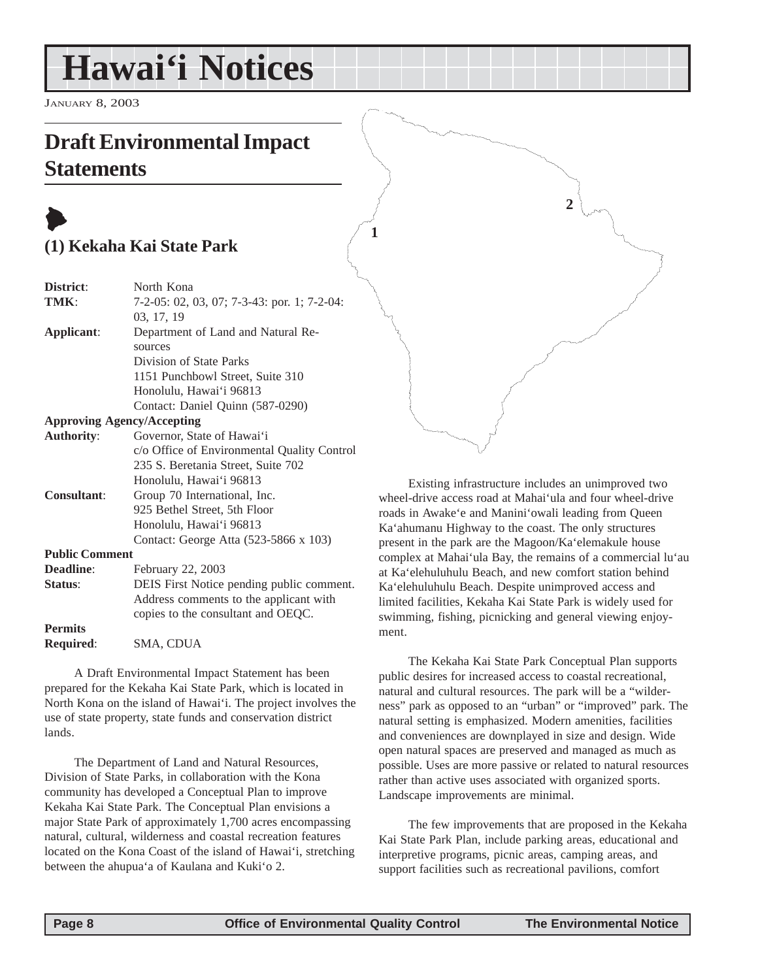## <span id="page-7-0"></span>**Hawai'i Notices**

JANUARY 8, 2003

## **Draft Environmental Impact Statements**

## $\blacklozenge$ **(1) Kekaha Kai State Park**

| District:             | North Kona                                      |  |
|-----------------------|-------------------------------------------------|--|
| TMK:                  | $7-2-05: 02, 03, 07; 7-3-43:$ por. 1; $7-2-04:$ |  |
|                       | 03, 17, 19                                      |  |
| Applicant:            | Department of Land and Natural Re-              |  |
|                       | sources                                         |  |
|                       | Division of State Parks                         |  |
|                       | 1151 Punchbowl Street, Suite 310                |  |
|                       | Honolulu, Hawai'i 96813                         |  |
|                       | Contact: Daniel Quinn (587-0290)                |  |
|                       | <b>Approving Agency/Accepting</b>               |  |
| <b>Authority:</b>     | Governor, State of Hawai'i                      |  |
|                       | c/o Office of Environmental Quality Control     |  |
|                       | 235 S. Beretania Street, Suite 702              |  |
|                       | Honolulu, Hawai'i 96813                         |  |
| <b>Consultant:</b>    | Group 70 International, Inc.                    |  |
|                       | 925 Bethel Street, 5th Floor                    |  |
|                       | Honolulu, Hawai'i 96813                         |  |
|                       | Contact: George Atta (523-5866 x 103)           |  |
| <b>Public Comment</b> |                                                 |  |
| <b>Deadline:</b>      | February 22, 2003                               |  |

| Deadhne.         | Pedruary 22, 2005                         |
|------------------|-------------------------------------------|
| Status:          | DEIS First Notice pending public comment. |
|                  | Address comments to the applicant with    |
|                  | copies to the consultant and OEOC.        |
| <b>Permits</b>   |                                           |
| <b>Required:</b> | SMA, CDUA                                 |

A Draft Environmental Impact Statement has been prepared for the Kekaha Kai State Park, which is located in North Kona on the island of Hawai'i. The project involves the use of state property, state funds and conservation district lands.

The Department of Land and Natural Resources, Division of State Parks, in collaboration with the Kona community has developed a Conceptual Plan to improve Kekaha Kai State Park. The Conceptual Plan envisions a major State Park of approximately 1,700 acres encompassing natural, cultural, wilderness and coastal recreation features located on the Kona Coast of the island of Hawai'i, stretching between the ahupua'a of Kaulana and Kuki'o 2.

**2**

**1**

Existing infrastructure includes an unimproved two wheel-drive access road at Mahai'ula and four wheel-drive roads in Awake'e and Manini'owali leading from Queen Ka'ahumanu Highway to the coast. The only structures present in the park are the Magoon/Ka'elemakule house complex at Mahai'ula Bay, the remains of a commercial lu'au at Ka'elehuluhulu Beach, and new comfort station behind Ka'elehuluhulu Beach. Despite unimproved access and limited facilities, Kekaha Kai State Park is widely used for swimming, fishing, picnicking and general viewing enjoyment.

The Kekaha Kai State Park Conceptual Plan supports public desires for increased access to coastal recreational, natural and cultural resources. The park will be a "wilderness" park as opposed to an "urban" or "improved" park. The natural setting is emphasized. Modern amenities, facilities and conveniences are downplayed in size and design. Wide open natural spaces are preserved and managed as much as possible. Uses are more passive or related to natural resources rather than active uses associated with organized sports. Landscape improvements are minimal.

The few improvements that are proposed in the Kekaha Kai State Park Plan, include parking areas, educational and interpretive programs, picnic areas, camping areas, and support facilities such as recreational pavilions, comfort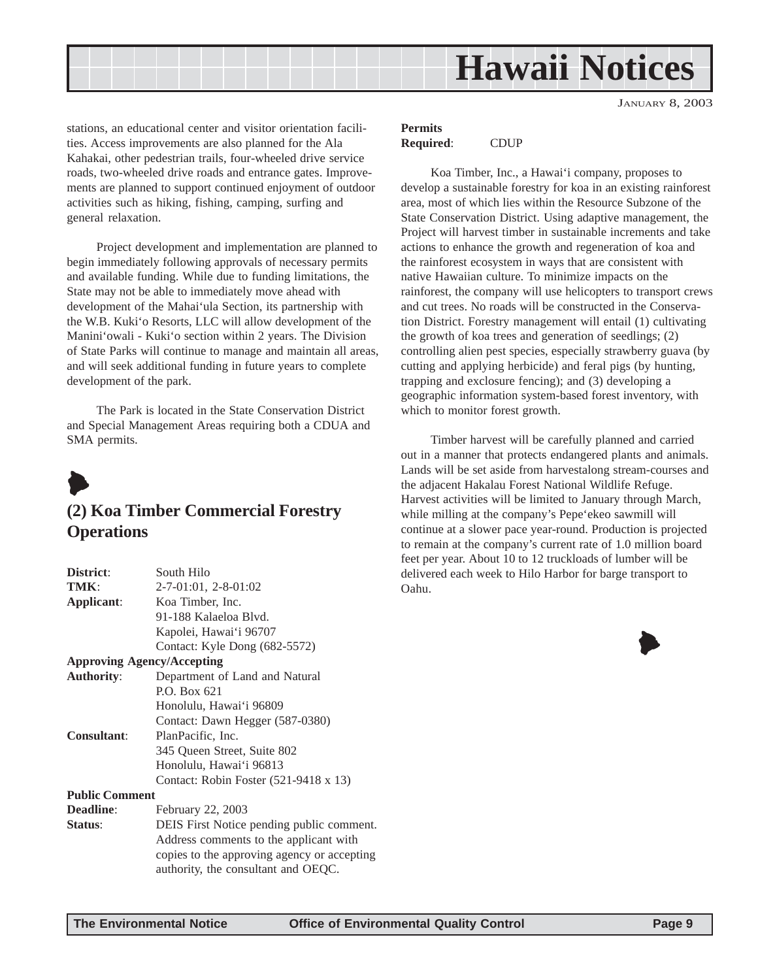<span id="page-8-0"></span>

JANUARY 8, 2003

stations, an educational center and visitor orientation facilities. Access improvements are also planned for the Ala Kahakai, other pedestrian trails, four-wheeled drive service roads, two-wheeled drive roads and entrance gates. Improvements are planned to support continued enjoyment of outdoor activities such as hiking, fishing, camping, surfing and general relaxation.

Project development and implementation are planned to begin immediately following approvals of necessary permits and available funding. While due to funding limitations, the State may not be able to immediately move ahead with development of the Mahai'ula Section, its partnership with the W.B. Kuki'o Resorts, LLC will allow development of the Manini'owali - Kuki'o section within 2 years. The Division of State Parks will continue to manage and maintain all areas, and will seek additional funding in future years to complete development of the park.

The Park is located in the State Conservation District and Special Management Areas requiring both a CDUA and SMA permits.



#### **(2) Koa Timber Commercial Forestry Operations**

| District:             | South Hilo                                  |
|-----------------------|---------------------------------------------|
| TMK:                  | 2-7-01:01, 2-8-01:02                        |
| <b>Applicant:</b>     | Koa Timber, Inc.                            |
|                       | 91-188 Kalaeloa Blvd.                       |
|                       | Kapolei, Hawai'i 96707                      |
|                       | Contact: Kyle Dong (682-5572)               |
|                       | <b>Approving Agency/Accepting</b>           |
| <b>Authority:</b>     | Department of Land and Natural              |
|                       | P.O. Box 621                                |
|                       | Honolulu, Hawai'i 96809                     |
|                       | Contact: Dawn Hegger (587-0380)             |
| <b>Consultant:</b>    | PlanPacific, Inc.                           |
|                       | 345 Queen Street, Suite 802                 |
|                       | Honolulu, Hawai'i 96813                     |
|                       | Contact: Robin Foster (521-9418 x 13)       |
| <b>Public Comment</b> |                                             |
| <b>Deadline:</b>      | February 22, 2003                           |
| <b>Status:</b>        | DEIS First Notice pending public comment.   |
|                       | Address comments to the applicant with      |
|                       | copies to the approving agency or accepting |
|                       | authority, the consultant and OEQC.         |

#### **Permits Required**: CDUP

Koa Timber, Inc., a Hawai'i company, proposes to develop a sustainable forestry for koa in an existing rainforest area, most of which lies within the Resource Subzone of the State Conservation District. Using adaptive management, the Project will harvest timber in sustainable increments and take actions to enhance the growth and regeneration of koa and the rainforest ecosystem in ways that are consistent with native Hawaiian culture. To minimize impacts on the rainforest, the company will use helicopters to transport crews and cut trees. No roads will be constructed in the Conservation District. Forestry management will entail (1) cultivating the growth of koa trees and generation of seedlings; (2) controlling alien pest species, especially strawberry guava (by cutting and applying herbicide) and feral pigs (by hunting, trapping and exclosure fencing); and (3) developing a geographic information system-based forest inventory, with which to monitor forest growth.

Timber harvest will be carefully planned and carried out in a manner that protects endangered plants and animals. Lands will be set aside from harvestalong stream-courses and the adjacent Hakalau Forest National Wildlife Refuge. Harvest activities will be limited to January through March, while milling at the company's Pepe'ekeo sawmill will continue at a slower pace year-round. Production is projected to remain at the company's current rate of 1.0 million board feet per year. About 10 to 12 truckloads of lumber will be delivered each week to Hilo Harbor for barge transport to Oahu.

 $\blacklozenge$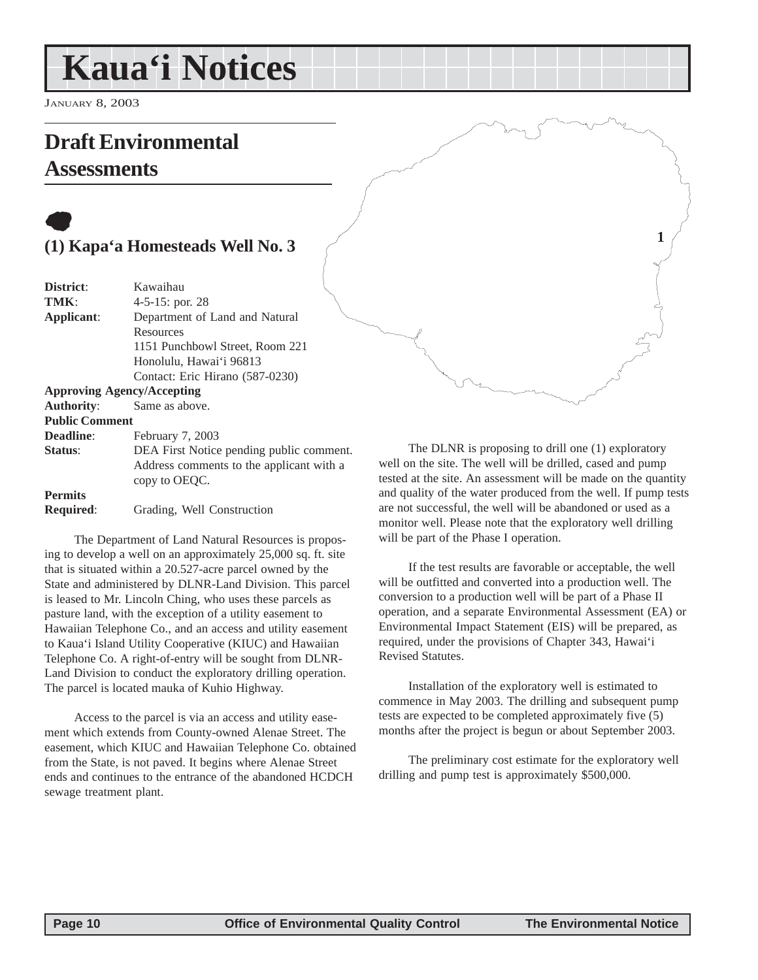## <span id="page-9-0"></span>**Kaua'i Notices**

JANUARY 8, 2003

## **Draft Environmental Assessments**

## $\bullet$ **(1) Kapa'a Homesteads Well No. 3**

| District:             | Kawaihau                                 |
|-----------------------|------------------------------------------|
| TMK:                  | 4-5-15: por. 28                          |
| Applicant:            | Department of Land and Natural           |
|                       | Resources                                |
|                       | 1151 Punchbowl Street, Room 221          |
|                       | Honolulu, Hawai'i 96813                  |
|                       | Contact: Eric Hirano (587-0230)          |
|                       | <b>Approving Agency/Accepting</b>        |
| <b>Authority:</b>     | Same as above.                           |
| <b>Public Comment</b> |                                          |
| Deadline:             | February 7, 2003                         |
| Status:               | DEA First Notice pending public comment. |
|                       | Address comments to the applicant with a |
|                       | copy to OEQC.                            |
| <b>Permits</b>        |                                          |
| <b>Required:</b>      | Grading, Well Construction               |

The Department of Land Natural Resources is proposing to develop a well on an approximately 25,000 sq. ft. site that is situated within a 20.527-acre parcel owned by the State and administered by DLNR-Land Division. This parcel is leased to Mr. Lincoln Ching, who uses these parcels as pasture land, with the exception of a utility easement to Hawaiian Telephone Co., and an access and utility easement to Kaua'i Island Utility Cooperative (KIUC) and Hawaiian Telephone Co. A right-of-entry will be sought from DLNR-Land Division to conduct the exploratory drilling operation. The parcel is located mauka of Kuhio Highway.

Access to the parcel is via an access and utility easement which extends from County-owned Alenae Street. The easement, which KIUC and Hawaiian Telephone Co. obtained from the State, is not paved. It begins where Alenae Street ends and continues to the entrance of the abandoned HCDCH sewage treatment plant.

The DLNR is proposing to drill one (1) exploratory well on the site. The well will be drilled, cased and pump tested at the site. An assessment will be made on the quantity and quality of the water produced from the well. If pump tests are not successful, the well will be abandoned or used as a monitor well. Please note that the exploratory well drilling will be part of the Phase I operation.

**1**

If the test results are favorable or acceptable, the well will be outfitted and converted into a production well. The conversion to a production well will be part of a Phase II operation, and a separate Environmental Assessment (EA) or Environmental Impact Statement (EIS) will be prepared, as required, under the provisions of Chapter 343, Hawai'i Revised Statutes.

Installation of the exploratory well is estimated to commence in May 2003. The drilling and subsequent pump tests are expected to be completed approximately five (5) months after the project is begun or about September 2003.

The preliminary cost estimate for the exploratory well drilling and pump test is approximately \$500,000.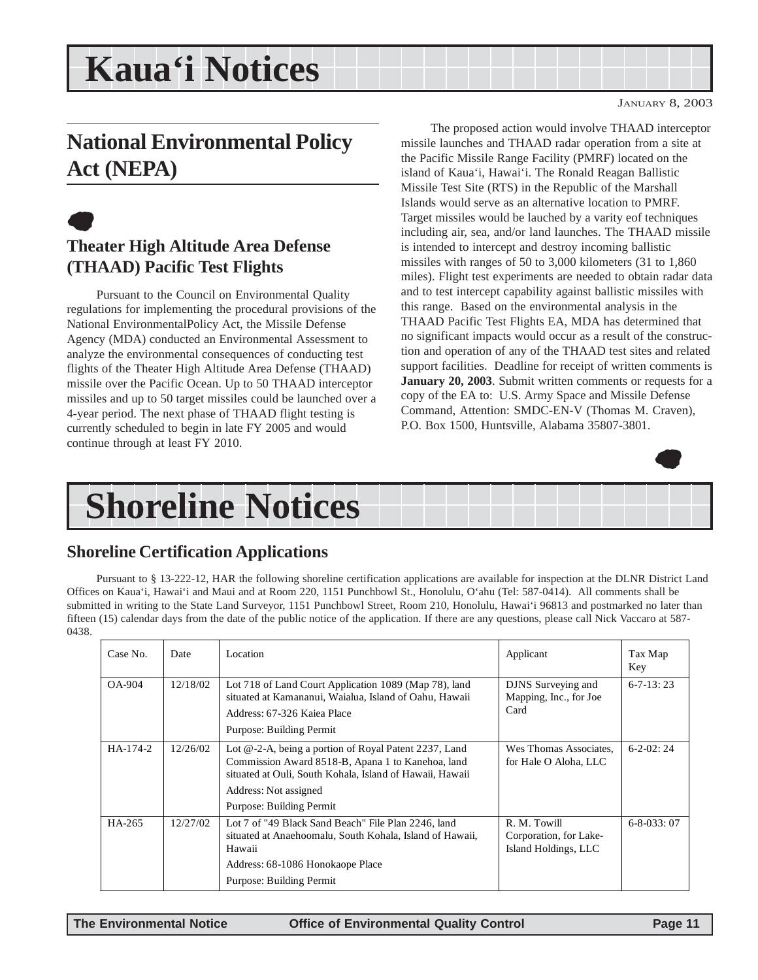## <span id="page-10-0"></span>**Kaua'i Notices**

JANUARY 8, 2003

## **National Environmental Policy Act (NEPA)**

## $\bullet$

### **Theater High Altitude Area Defense (THAAD) Pacific Test Flights**

Pursuant to the Council on Environmental Quality regulations for implementing the procedural provisions of the National EnvironmentalPolicy Act, the Missile Defense Agency (MDA) conducted an Environmental Assessment to analyze the environmental consequences of conducting test flights of the Theater High Altitude Area Defense (THAAD) missile over the Pacific Ocean. Up to 50 THAAD interceptor missiles and up to 50 target missiles could be launched over a 4-year period. The next phase of THAAD flight testing is currently scheduled to begin in late FY 2005 and would continue through at least FY 2010.

The proposed action would involve THAAD interceptor missile launches and THAAD radar operation from a site at the Pacific Missile Range Facility (PMRF) located on the island of Kaua'i, Hawai'i. The Ronald Reagan Ballistic Missile Test Site (RTS) in the Republic of the Marshall Islands would serve as an alternative location to PMRF. Target missiles would be lauched by a varity eof techniques including air, sea, and/or land launches. The THAAD missile is intended to intercept and destroy incoming ballistic missiles with ranges of 50 to 3,000 kilometers (31 to 1,860 miles). Flight test experiments are needed to obtain radar data and to test intercept capability against ballistic missiles with this range. Based on the environmental analysis in the THAAD Pacific Test Flights EA, MDA has determined that no significant impacts would occur as a result of the construction and operation of any of the THAAD test sites and related support facilities. Deadline for receipt of written comments is **January 20, 2003**. Submit written comments or requests for a copy of the EA to: U.S. Army Space and Missile Defense Command, Attention: SMDC-EN-V (Thomas M. Craven), P.O. Box 1500, Huntsville, Alabama 35807-3801.



## **Shoreline Notices**

#### **Shoreline Certification Applications**

Pursuant to § 13-222-12, HAR the following shoreline certification applications are available for inspection at the DLNR District Land Offices on Kaua'i, Hawai'i and Maui and at Room 220, 1151 Punchbowl St., Honolulu, O'ahu (Tel: 587-0414). All comments shall be submitted in writing to the State Land Surveyor, 1151 Punchbowl Street, Room 210, Honolulu, Hawai'i 96813 and postmarked no later than fifteen (15) calendar days from the date of the public notice of the application. If there are any questions, please call Nick Vaccaro at 587- 0438.

| Case No. | Date     | Location                                                                                                                                                                                                                    | Applicant                                                      | Tax Map<br>Key     |
|----------|----------|-----------------------------------------------------------------------------------------------------------------------------------------------------------------------------------------------------------------------------|----------------------------------------------------------------|--------------------|
| $OA-904$ | 12/18/02 | Lot 718 of Land Court Application 1089 (Map 78), land<br>situated at Kamananui, Waialua, Island of Oahu, Hawaii<br>Address: 67-326 Kaiea Place<br>Purpose: Building Permit                                                  | DJNS Surveying and<br>Mapping, Inc., for Joe<br>Card           | $6 - 7 - 13:23$    |
| HA-174-2 | 12/26/02 | Lot @-2-A, being a portion of Royal Patent 2237, Land<br>Commission Award 8518-B, Apana 1 to Kanehoa, land<br>situated at Ouli, South Kohala, Island of Hawaii, Hawaii<br>Address: Not assigned<br>Purpose: Building Permit | Wes Thomas Associates,<br>for Hale O Aloha, LLC                | $6-2-02:24$        |
| HA-265   | 12/27/02 | Lot 7 of "49 Black Sand Beach" File Plan 2246, land<br>situated at Anaehoomalu, South Kohala, Island of Hawaii,<br>Hawaii<br>Address: 68-1086 Honokaope Place<br>Purpose: Building Permit                                   | R. M. Towill<br>Corporation, for Lake-<br>Island Holdings, LLC | $6 - 8 - 033$ : 07 |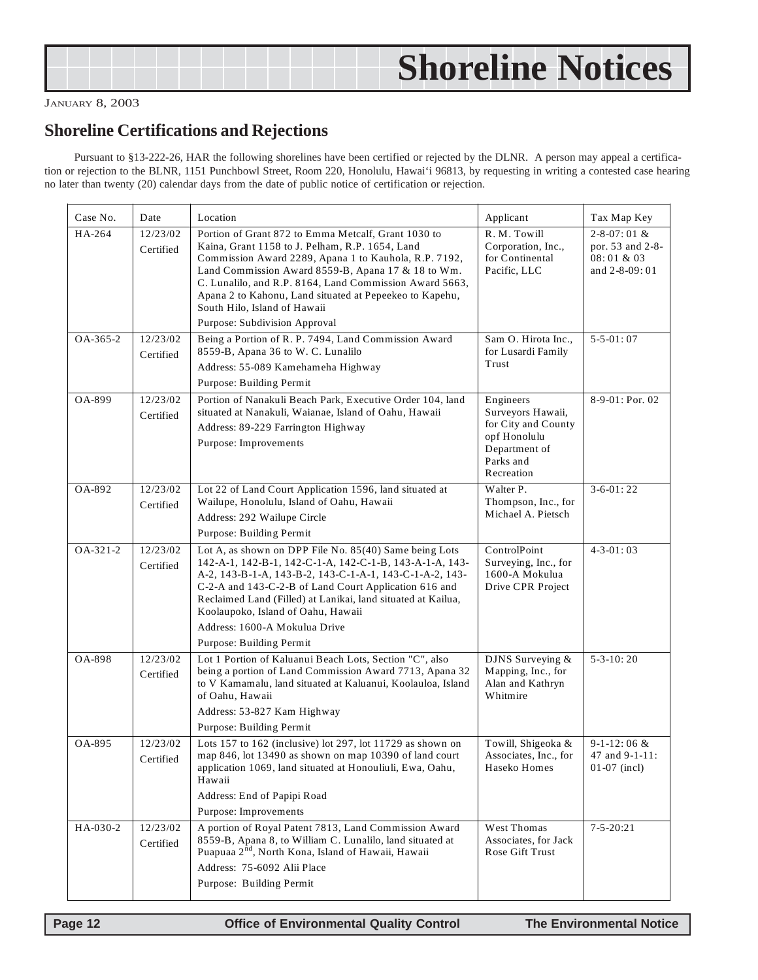<span id="page-11-0"></span>

|  | <b>Shoreline Notices</b> |
|--|--------------------------|
|--|--------------------------|

#### JANUARY 8, 2003

### **Shoreline Certifications and Rejections**

Pursuant to §13-222-26, HAR the following shorelines have been certified or rejected by the DLNR. A person may appeal a certification or rejection to the BLNR, 1151 Punchbowl Street, Room 220, Honolulu, Hawai'i 96813, by requesting in writing a contested case hearing no later than twenty (20) calendar days from the date of public notice of certification or rejection.

| Case No. | Date                  | Location                                                                                                                                                                                                                                                                                                                                                                                                     | Applicant                                                                                                         | Tax Map Key                                                           |
|----------|-----------------------|--------------------------------------------------------------------------------------------------------------------------------------------------------------------------------------------------------------------------------------------------------------------------------------------------------------------------------------------------------------------------------------------------------------|-------------------------------------------------------------------------------------------------------------------|-----------------------------------------------------------------------|
| HA-264   | 12/23/02<br>Certified | Portion of Grant 872 to Emma Metcalf, Grant 1030 to<br>Kaina, Grant 1158 to J. Pelham, R.P. 1654, Land<br>Commission Award 2289, Apana 1 to Kauhola, R.P. 7192,<br>Land Commission Award 8559-B, Apana 17 & 18 to Wm.<br>C. Lunalilo, and R.P. 8164, Land Commission Award 5663,<br>Apana 2 to Kahonu, Land situated at Pepeekeo to Kapehu,<br>South Hilo, Island of Hawaii<br>Purpose: Subdivision Approval | R. M. Towill<br>Corporation, Inc.,<br>for Continental<br>Pacific, LLC                                             | $2 - 8 - 07:01$ &<br>por. 53 and 2-8-<br>08:01 & 03<br>and 2-8-09: 01 |
| OA-365-2 | 12/23/02<br>Certified | Being a Portion of R. P. 7494, Land Commission Award<br>8559-B, Apana 36 to W. C. Lunalilo<br>Address: 55-089 Kamehameha Highway<br>Purpose: Building Permit                                                                                                                                                                                                                                                 | Sam O. Hirota Inc.,<br>for Lusardi Family<br>Trust                                                                | $5 - 5 - 01:07$                                                       |
| OA-899   | 12/23/02<br>Certified | Portion of Nanakuli Beach Park, Executive Order 104, land<br>situated at Nanakuli, Waianae, Island of Oahu, Hawaii<br>Address: 89-229 Farrington Highway<br>Purpose: Improvements                                                                                                                                                                                                                            | Engineers<br>Surveyors Hawaii,<br>for City and County<br>opf Honolulu<br>Department of<br>Parks and<br>Recreation | 8-9-01: Por. 02                                                       |
| OA-892   | 12/23/02<br>Certified | Lot 22 of Land Court Application 1596, land situated at<br>Wailupe, Honolulu, Island of Oahu, Hawaii<br>Address: 292 Wailupe Circle<br>Purpose: Building Permit                                                                                                                                                                                                                                              | Walter P.<br>Thompson, Inc., for<br>Michael A. Pietsch                                                            | $3-6-01:22$                                                           |
| OA-321-2 | 12/23/02<br>Certified | Lot A, as shown on DPP File No. 85(40) Same being Lots<br>142-A-1, 142-B-1, 142-C-1-A, 142-C-1-B, 143-A-1-A, 143-<br>A-2, 143-B-1-A, 143-B-2, 143-C-1-A-1, 143-C-1-A-2, 143-<br>C-2-A and 143-C-2-B of Land Court Application 616 and<br>Reclaimed Land (Filled) at Lanikai, land situated at Kailua,<br>Koolaupoko, Island of Oahu, Hawaii<br>Address: 1600-A Mokulua Drive<br>Purpose: Building Permit     | ControlPoint<br>Surveying, Inc., for<br>1600-A Mokulua<br>Drive CPR Project                                       | $4 - 3 - 01:03$                                                       |
| OA-898   | 12/23/02<br>Certified | Lot 1 Portion of Kaluanui Beach Lots, Section "C", also<br>being a portion of Land Commission Award 7713, Apana 32<br>to V Kamamalu, land situated at Kaluanui, Koolauloa, Island<br>of Oahu, Hawaii<br>Address: 53-827 Kam Highway<br>Purpose: Building Permit                                                                                                                                              | DJNS Surveying &<br>Mapping, Inc., for<br>Alan and Kathryn<br>Whitmire                                            | $5 - 3 - 10:20$                                                       |
| OA-895   | 12/23/02<br>Certified | Lots 157 to 162 (inclusive) lot 297, lot 11729 as shown on<br>map 846, lot 13490 as shown on map 10390 of land court<br>application 1069, land situated at Honouliuli, Ewa, Oahu,<br>Hawaii<br>Address: End of Papipi Road<br>Purpose: Improvements                                                                                                                                                          | Towill, Shigeoka &<br>Associates, Inc., for<br>Haseko Homes                                                       | $9-1-12:06 &$<br>47 and 9-1-11:<br>$01-07$ (incl)                     |
| HA-030-2 | 12/23/02<br>Certified | A portion of Royal Patent 7813, Land Commission Award<br>8559-B, Apana 8, to William C. Lunalilo, land situated at<br>Puapuaa 2 <sup>nd</sup> , North Kona, Island of Hawaii, Hawaii<br>Address: 75-6092 Alii Place<br>Purpose: Building Permit                                                                                                                                                              | West Thomas<br>Associates, for Jack<br>Rose Gift Trust                                                            | $7 - 5 - 20:21$                                                       |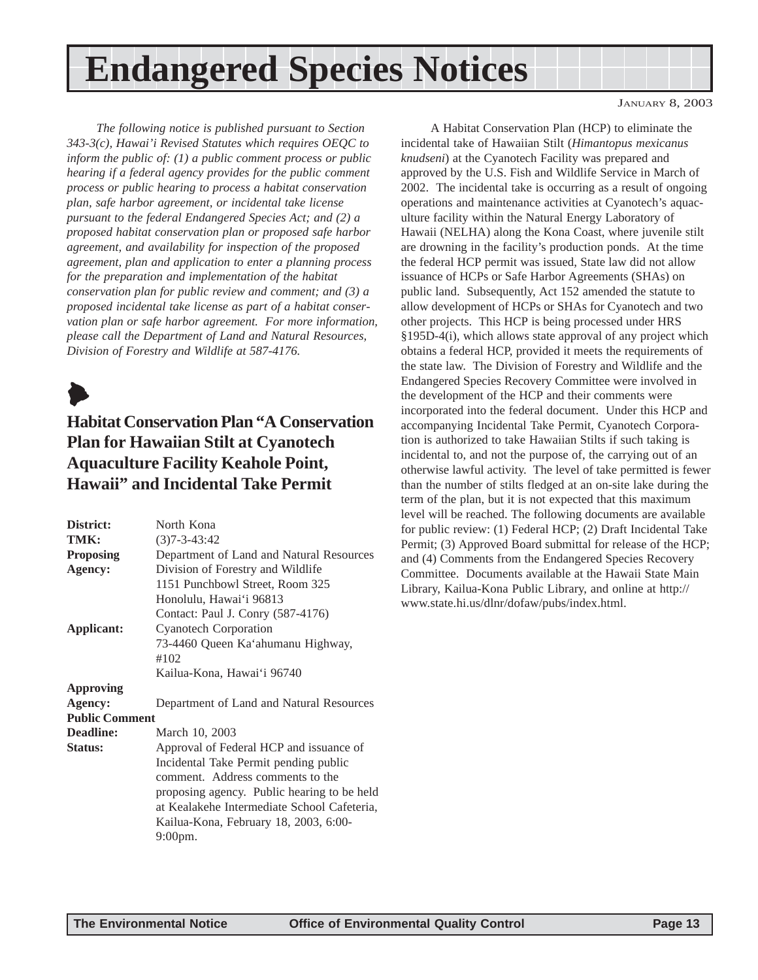## <span id="page-12-0"></span>**Endangered Species Notices**

*The following notice is published pursuant to Section 343-3(c), Hawai'i Revised Statutes which requires OEQC to inform the public of: (1) a public comment process or public hearing if a federal agency provides for the public comment process or public hearing to process a habitat conservation plan, safe harbor agreement, or incidental take license pursuant to the federal Endangered Species Act; and (2) a proposed habitat conservation plan or proposed safe harbor agreement, and availability for inspection of the proposed agreement, plan and application to enter a planning process for the preparation and implementation of the habitat conservation plan for public review and comment; and (3) a proposed incidental take license as part of a habitat conservation plan or safe harbor agreement. For more information, please call the Department of Land and Natural Resources, Division of Forestry and Wildlife at 587-4176.*



### **Habitat Conservation Plan "A Conservation Plan for Hawaiian Stilt at Cyanotech Aquaculture Facility Keahole Point, Hawaii" and Incidental Take Permit**

| District:                        | North Kona                                  |
|----------------------------------|---------------------------------------------|
| TMK:                             | $(3)7 - 3 - 43:42$                          |
| <b>Proposing</b>                 | Department of Land and Natural Resources    |
| Agency:                          | Division of Forestry and Wildlife           |
|                                  | 1151 Punchbowl Street, Room 325             |
|                                  | Honolulu, Hawai'i 96813                     |
|                                  | Contact: Paul J. Conry (587-4176)           |
| Applicant:                       | <b>Cyanotech Corporation</b>                |
|                                  | 73-4460 Queen Ka'ahumanu Highway,           |
|                                  | #102                                        |
|                                  | Kailua-Kona, Hawai'i 96740                  |
| <b>Approving</b>                 |                                             |
|                                  |                                             |
| Agency:<br><b>Public Comment</b> | Department of Land and Natural Resources    |
|                                  |                                             |
| Deadline:                        | March 10, 2003                              |
| <b>Status:</b>                   | Approval of Federal HCP and issuance of     |
|                                  | Incidental Take Permit pending public       |
|                                  | comment. Address comments to the            |
|                                  | proposing agency. Public hearing to be held |
|                                  | at Kealakehe Intermediate School Cafeteria, |
|                                  |                                             |
|                                  | Kailua-Kona, February 18, 2003, 6:00-       |
|                                  | $9:00$ pm.                                  |
|                                  |                                             |

A Habitat Conservation Plan (HCP) to eliminate the incidental take of Hawaiian Stilt (*Himantopus mexicanus knudseni*) at the Cyanotech Facility was prepared and approved by the U.S. Fish and Wildlife Service in March of 2002. The incidental take is occurring as a result of ongoing operations and maintenance activities at Cyanotech's aquaculture facility within the Natural Energy Laboratory of Hawaii (NELHA) along the Kona Coast, where juvenile stilt are drowning in the facility's production ponds. At the time the federal HCP permit was issued, State law did not allow issuance of HCPs or Safe Harbor Agreements (SHAs) on public land. Subsequently, Act 152 amended the statute to allow development of HCPs or SHAs for Cyanotech and two other projects. This HCP is being processed under HRS §195D-4(i), which allows state approval of any project which obtains a federal HCP, provided it meets the requirements of the state law. The Division of Forestry and Wildlife and the Endangered Species Recovery Committee were involved in the development of the HCP and their comments were incorporated into the federal document. Under this HCP and accompanying Incidental Take Permit, Cyanotech Corporation is authorized to take Hawaiian Stilts if such taking is incidental to, and not the purpose of, the carrying out of an otherwise lawful activity. The level of take permitted is fewer than the number of stilts fledged at an on-site lake during the term of the plan, but it is not expected that this maximum level will be reached. The following documents are available for public review: (1) Federal HCP; (2) Draft Incidental Take Permit; (3) Approved Board submittal for release of the HCP; and (4) Comments from the Endangered Species Recovery Committee. Documents available at the Hawaii State Main Library, Kailua-Kona Public Library, and online at http:// www.state.hi.us/dlnr/dofaw/pubs/index.html.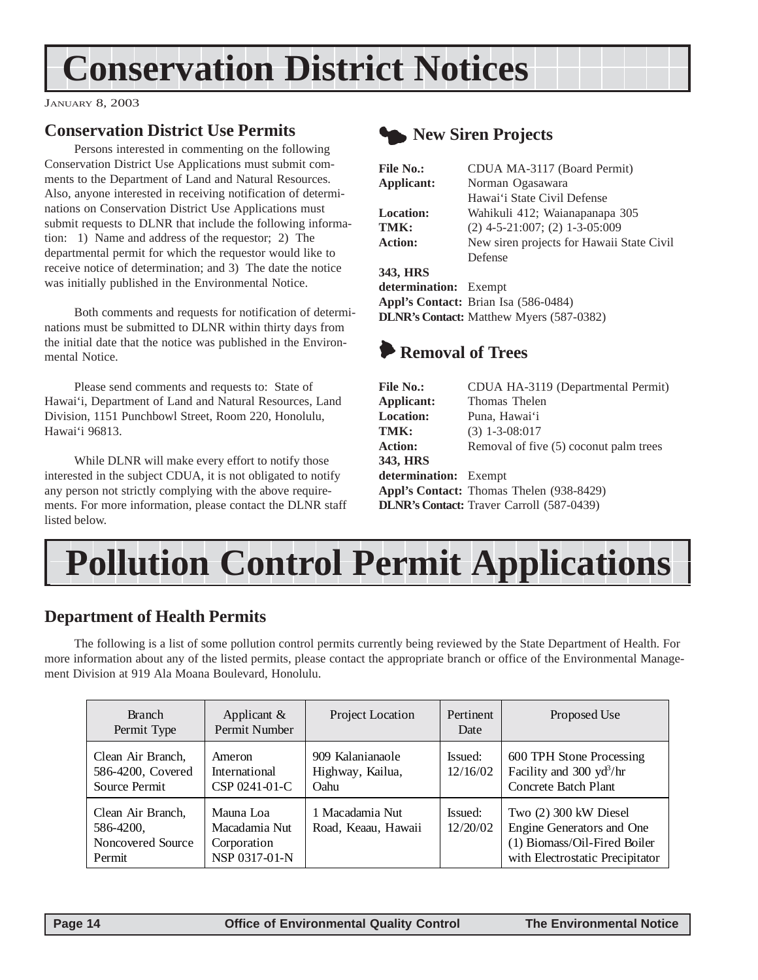## <span id="page-13-0"></span>**Conservation District Notices**

JANUARY 8, 2003

### **Conservation District Use Permits**

Persons interested in commenting on the following Conservation District Use Applications must submit comments to the Department of Land and Natural Resources. Also, anyone interested in receiving notification of determinations on Conservation District Use Applications must submit requests to DLNR that include the following information: 1) Name and address of the requestor; 2) The departmental permit for which the requestor would like to receive notice of determination; and 3) The date the notice was initially published in the Environmental Notice.

Both comments and requests for notification of determinations must be submitted to DLNR within thirty days from the initial date that the notice was published in the Environmental Notice.

Please send comments and requests to: State of Hawai'i, Department of Land and Natural Resources, Land Division, 1151 Punchbowl Street, Room 220, Honolulu, Hawai'i 96813.

While DLNR will make every effort to notify those interested in the subject CDUA, it is not obligated to notify any person not strictly complying with the above requirements. For more information, please contact the DLNR staff listed below.



### **New Siren Projects**

| CDUA MA-3117 (Board Permit)                     |
|-------------------------------------------------|
| Norman Ogasawara                                |
| Hawai'i State Civil Defense                     |
| Wahikuli 412; Waianapanapa 305                  |
| $(2)$ 4-5-21:007; $(2)$ 1-3-05:009              |
| New siren projects for Hawaii State Civil       |
| Defense                                         |
|                                                 |
| determination: Exempt                           |
| Appl's Contact: Brian Isa (586-0484)            |
| <b>DLNR's Contact:</b> Matthew Myers (587-0382) |
|                                                 |

## 6 **Removal of Trees**

| <b>File No.:</b>      | CDUA HA-3119 (Departmental Permit)               |
|-----------------------|--------------------------------------------------|
| Applicant:            | Thomas Thelen                                    |
| <b>Location:</b>      | Puna, Hawai'i                                    |
| TMK:                  | $(3)$ 1-3-08:017                                 |
| <b>Action:</b>        | Removal of five (5) coconut palm trees           |
| 343, HRS              |                                                  |
| determination: Exempt |                                                  |
|                       | Appl's Contact: Thomas Thelen (938-8429)         |
|                       | <b>DLNR's Contact:</b> Traver Carroll (587-0439) |
|                       |                                                  |



#### **Department of Health Permits**

The following is a list of some pollution control permits currently being reviewed by the State Department of Health. For more information about any of the listed permits, please contact the appropriate branch or office of the Environmental Management Division at 919 Ala Moana Boulevard, Honolulu.

| <b>Branch</b><br>Permit Type                                  | Applicant $\&$<br>Permit Number                            | Project Location                             | Pertinent<br>Date   | Proposed Use                                                                                                          |
|---------------------------------------------------------------|------------------------------------------------------------|----------------------------------------------|---------------------|-----------------------------------------------------------------------------------------------------------------------|
| Clean Air Branch,<br>586-4200, Covered<br>Source Permit       | Ameron<br>International<br>CSP 0241-01-C                   | 909 Kalanianaole<br>Highway, Kailua,<br>Oahu | Issued:<br>12/16/02 | 600 TPH Stone Processing<br>Facility and 300 $yd^3/hr$<br>Concrete Batch Plant                                        |
| Clean Air Branch,<br>586-4200,<br>Noncovered Source<br>Permit | Mauna Loa<br>Macadamia Nut<br>Corporation<br>NSP 0317-01-N | 1 Macadamia Nut<br>Road, Keaau, Hawaii       | Issued:<br>12/20/02 | Two (2) 300 kW Diesel<br>Engine Generators and One<br>(1) Biomass/Oil-Fired Boiler<br>with Electrostatic Precipitator |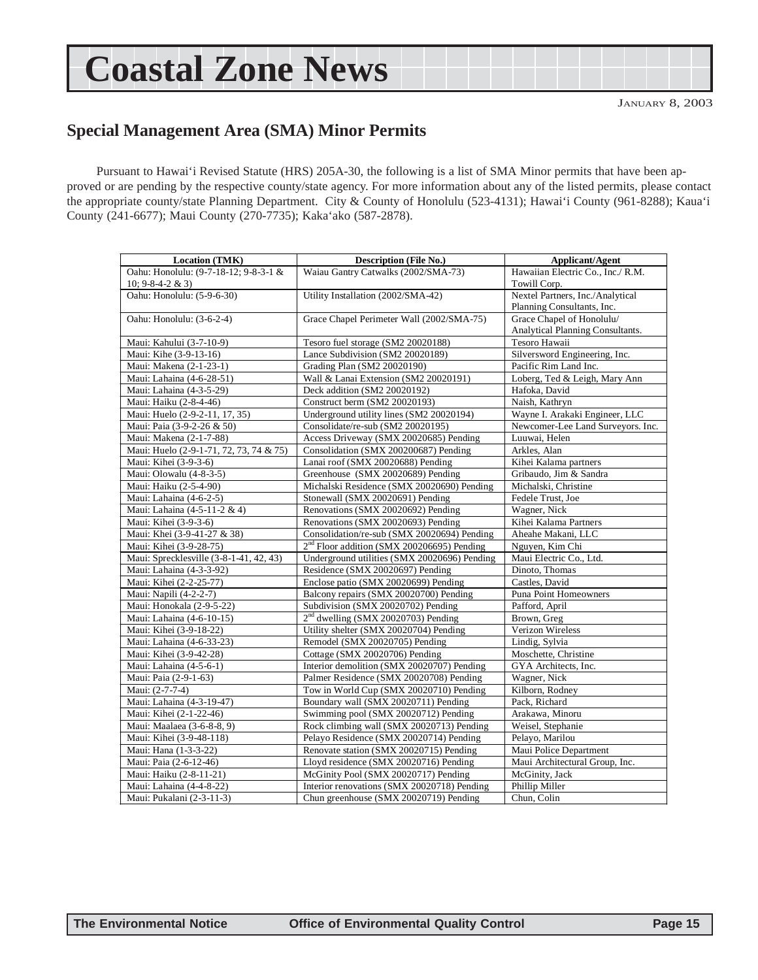## <span id="page-14-0"></span>**Coastal Zone News**

### **Special Management Area (SMA) Minor Permits**

Pursuant to Hawai'i Revised Statute (HRS) 205A-30, the following is a list of SMA Minor permits that have been approved or are pending by the respective county/state agency. For more information about any of the listed permits, please contact the appropriate county/state Planning Department. City & County of Honolulu (523-4131); Hawai'i County (961-8288); Kaua'i County (241-6677); Maui County (270-7735); Kaka'ako (587-2878).

| <b>Location (TMK)</b>                   | <b>Description (File No.)</b>                          | <b>Applicant/Agent</b>            |
|-----------------------------------------|--------------------------------------------------------|-----------------------------------|
| Oahu: Honolulu: (9-7-18-12; 9-8-3-1 &   | Waiau Gantry Catwalks (2002/SMA-73)                    | Hawaiian Electric Co., Inc./ R.M. |
| $10; 9 - 8 - 4 - 2 & 3$                 |                                                        | Towill Corp.                      |
| Oahu: Honolulu: (5-9-6-30)              | Utility Installation (2002/SMA-42)                     | Nextel Partners, Inc./Analytical  |
|                                         |                                                        | Planning Consultants, Inc.        |
| Oahu: Honolulu: (3-6-2-4)               | Grace Chapel Perimeter Wall (2002/SMA-75)              | Grace Chapel of Honolulu/         |
|                                         |                                                        | Analytical Planning Consultants.  |
| Maui: Kahului (3-7-10-9)                | Tesoro fuel storage (SM2 20020188)                     | Tesoro Hawaii                     |
| Maui: Kihe (3-9-13-16)                  | Lance Subdivision (SM2 20020189)                       | Silversword Engineering, Inc.     |
| Maui: Makena (2-1-23-1)                 | Grading Plan (SM2 20020190)                            | Pacific Rim Land Inc.             |
| Maui: Lahaina (4-6-28-51)               | Wall & Lanai Extension (SM2 20020191)                  | Loberg, Ted & Leigh, Mary Ann     |
| Maui: Lahaina (4-3-5-29)                | Deck addition (SM2 20020192)                           | Hafoka, David                     |
| Maui: Haiku (2-8-4-46)                  | Construct berm (SM2 20020193)                          | Naish, Kathryn                    |
|                                         | Underground utility lines (SM2 20020194)               | Wayne I. Arakaki Engineer, LLC    |
| Maui: Huelo (2-9-2-11, 17, 35)          |                                                        |                                   |
| Maui: Paia (3-9-2-26 & 50)              | Consolidate/re-sub (SM2 20020195)                      | Newcomer-Lee Land Surveyors. Inc. |
| Maui: Makena (2-1-7-88)                 | Access Driveway (SMX 20020685) Pending                 | Luuwai, Helen                     |
| Maui: Huelo (2-9-1-71, 72, 73, 74 & 75) | Consolidation (SMX 200200687) Pending                  | Arkles, Alan                      |
| Maui: Kihei (3-9-3-6)                   | Lanai roof (SMX 20020688) Pending                      | Kihei Kalama partners             |
| Maui: Olowalu (4-8-3-5)                 | Greenhouse (SMX 20020689) Pending                      | Gribaudo, Jim & Sandra            |
| Maui: Haiku (2-5-4-90)                  | Michalski Residence (SMX 20020690) Pending             | Michalski, Christine              |
| Maui: Lahaina (4-6-2-5)                 | Stonewall (SMX 20020691) Pending                       | Fedele Trust, Joe                 |
| Maui: Lahaina (4-5-11-2 & 4)            | Renovations (SMX 20020692) Pending                     | Wagner, Nick                      |
| Maui: Kihei (3-9-3-6)                   | Renovations (SMX 20020693) Pending                     | Kihei Kalama Partners             |
| Maui: Khei (3-9-41-27 & 38)             | Consolidation/re-sub (SMX 20020694) Pending            | Aheahe Makani, LLC                |
| Maui: Kihei (3-9-28-75)                 | 2 <sup>nd</sup> Floor addition (SMX 200206695) Pending | Nguyen, Kim Chi                   |
| Maui: Sprecklesville (3-8-1-41, 42, 43) | Underground utilities (SMX 20020696) Pending           | Maui Electric Co., Ltd.           |
| Maui: Lahaina (4-3-3-92)                | Residence (SMX 20020697) Pending                       | Dinoto, Thomas                    |
| Maui: Kihei (2-2-25-77)                 | Enclose patio (SMX 20020699) Pending                   | Castles, David                    |
| Maui: Napili (4-2-2-7)                  | Balcony repairs (SMX 20020700) Pending                 | Puna Point Homeowners             |
| Maui: Honokala (2-9-5-22)               | Subdivision (SMX 20020702) Pending                     | Pafford, April                    |
| Maui: Lahaina (4-6-10-15)               | 2 <sup>nd</sup> dwelling (SMX 20020703) Pending        | Brown, Greg                       |
| Maui: Kihei (3-9-18-22)                 | Utility shelter (SMX 20020704) Pending                 | Verizon Wireless                  |
| Maui: Lahaina (4-6-33-23)               | Remodel (SMX 20020705) Pending                         | Lindig, Sylvia                    |
| Maui: Kihei (3-9-42-28)                 | Cottage (SMX 20020706) Pending                         | Moschette, Christine              |
| Maui: Lahaina (4-5-6-1)                 | Interior demolition (SMX 20020707) Pending             | GYA Architects, Inc.              |
| Maui: Paia (2-9-1-63)                   | Palmer Residence (SMX 20020708) Pending                | Wagner, Nick                      |
| Maui: (2-7-7-4)                         | Tow in World Cup (SMX 20020710) Pending                | Kilborn, Rodney                   |
| Maui: Lahaina (4-3-19-47)               | Boundary wall (SMX 20020711) Pending                   | Pack, Richard                     |
| Maui: Kihei (2-1-22-46)                 | Swimming pool (SMX 20020712) Pending                   | Arakawa, Minoru                   |
| Maui: Maalaea (3-6-8-8, 9)              | Rock climbing wall (SMX 20020713) Pending              | Weisel, Stephanie                 |
| Maui: Kihei (3-9-48-118)                | Pelayo Residence (SMX 20020714) Pending                | Pelayo, Marilou                   |
| Maui: Hana (1-3-3-22)                   | Renovate station (SMX 20020715) Pending                | Maui Police Department            |
| Maui: Paia (2-6-12-46)                  | Lloyd residence (SMX 20020716) Pending                 | Maui Architectural Group, Inc.    |
| Maui: Haiku (2-8-11-21)                 | McGinity Pool (SMX 20020717) Pending                   | McGinity, Jack                    |
| Maui: Lahaina (4-4-8-22)                | Interior renovations (SMX 20020718) Pending            | Phillip Miller                    |
| Maui: Pukalani (2-3-11-3)               | Chun greenhouse (SMX 20020719) Pending                 | Chun, Colin                       |
|                                         |                                                        |                                   |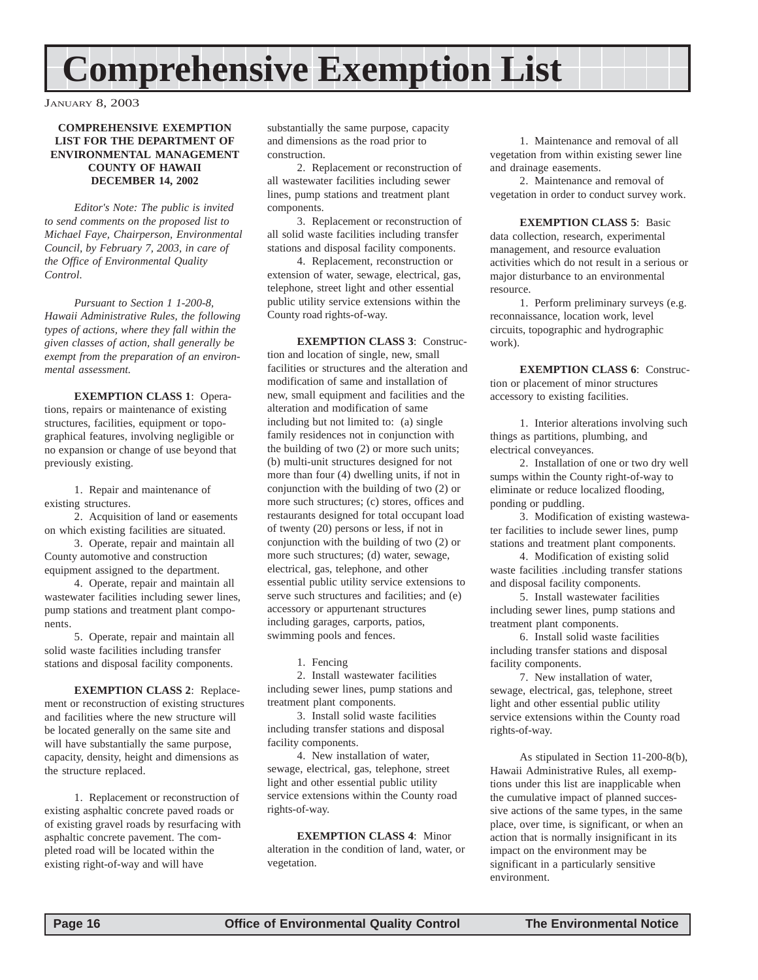## <span id="page-15-0"></span>**Comprehensive Exemption List**

JANUARY 8, 2003

#### **COMPREHENSIVE EXEMPTION LIST FOR THE DEPARTMENT OF ENVIRONMENTAL MANAGEMENT COUNTY OF HAWAII DECEMBER 14, 2002**

*Editor's Note: The public is invited to send comments on the proposed list to Michael Faye, Chairperson, Environmental Council, by February 7, 2003, in care of the Office of Environmental Quality Control.*

*Pursuant to Section 1 1-200-8, Hawaii Administrative Rules, the following types of actions, where they fall within the given classes of action, shall generally be exempt from the preparation of an environmental assessment.*

**EXEMPTION CLASS 1**: Operations, repairs or maintenance of existing structures, facilities, equipment or topographical features, involving negligible or no expansion or change of use beyond that previously existing.

1. Repair and maintenance of existing structures.

2. Acquisition of land or easements on which existing facilities are situated.

3. Operate, repair and maintain all County automotive and construction equipment assigned to the department.

4. Operate, repair and maintain all wastewater facilities including sewer lines, pump stations and treatment plant components.

5. Operate, repair and maintain all solid waste facilities including transfer stations and disposal facility components.

**EXEMPTION CLASS 2**: Replacement or reconstruction of existing structures and facilities where the new structure will be located generally on the same site and will have substantially the same purpose, capacity, density, height and dimensions as the structure replaced.

1. Replacement or reconstruction of existing asphaltic concrete paved roads or of existing gravel roads by resurfacing with asphaltic concrete pavement. The completed road will be located within the existing right-of-way and will have

substantially the same purpose, capacity and dimensions as the road prior to construction.

2. Replacement or reconstruction of all wastewater facilities including sewer lines, pump stations and treatment plant components.

3. Replacement or reconstruction of all solid waste facilities including transfer stations and disposal facility components.

4. Replacement, reconstruction or extension of water, sewage, electrical, gas, telephone, street light and other essential public utility service extensions within the County road rights-of-way.

**EXEMPTION CLASS 3**: Construction and location of single, new, small facilities or structures and the alteration and modification of same and installation of new, small equipment and facilities and the alteration and modification of same including but not limited to: (a) single family residences not in conjunction with the building of two (2) or more such units; (b) multi-unit structures designed for not more than four (4) dwelling units, if not in conjunction with the building of two (2) or more such structures; (c) stores, offices and restaurants designed for total occupant load of twenty (20) persons or less, if not in conjunction with the building of two (2) or more such structures; (d) water, sewage, electrical, gas, telephone, and other essential public utility service extensions to serve such structures and facilities; and (e) accessory or appurtenant structures including garages, carports, patios, swimming pools and fences.

1. Fencing

2. Install wastewater facilities including sewer lines, pump stations and treatment plant components.

3. Install solid waste facilities including transfer stations and disposal facility components.

4. New installation of water, sewage, electrical, gas, telephone, street light and other essential public utility service extensions within the County road rights-of-way.

**EXEMPTION CLASS 4**: Minor alteration in the condition of land, water, or vegetation.

1. Maintenance and removal of all vegetation from within existing sewer line and drainage easements.

2. Maintenance and removal of vegetation in order to conduct survey work.

**EXEMPTION CLASS 5**: Basic data collection, research, experimental management, and resource evaluation activities which do not result in a serious or major disturbance to an environmental resource.

1. Perform preliminary surveys (e.g. reconnaissance, location work, level circuits, topographic and hydrographic work).

**EXEMPTION CLASS 6**: Construction or placement of minor structures accessory to existing facilities.

1. Interior alterations involving such things as partitions, plumbing, and electrical conveyances.

2. Installation of one or two dry well sumps within the County right-of-way to eliminate or reduce localized flooding, ponding or puddling.

3. Modification of existing wastewater facilities to include sewer lines, pump stations and treatment plant components.

4. Modification of existing solid waste facilities .including transfer stations and disposal facility components.

5. Install wastewater facilities including sewer lines, pump stations and treatment plant components.

6. Install solid waste facilities including transfer stations and disposal facility components.

7. New installation of water, sewage, electrical, gas, telephone, street light and other essential public utility service extensions within the County road rights-of-way.

As stipulated in Section 11-200-8(b), Hawaii Administrative Rules, all exemptions under this list are inapplicable when the cumulative impact of planned successive actions of the same types, in the same place, over time, is significant, or when an action that is normally insignificant in its impact on the environment may be significant in a particularly sensitive environment.